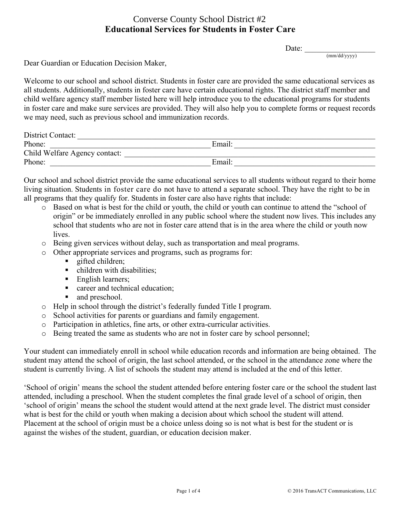#### **Educational Services for Students in Foster Care** Converse County School District #2

Date:  $\frac{ }{ }$ 

(mm/dd/yyyy)

Dear Guardian or Education Decision Maker,

Welcome to our school and school district. Students in foster care are provided the same educational services as all students. Additionally, students in foster care have certain educational rights. The district staff member and child welfare agency staff member listed here will help introduce you to the educational programs for students in foster care and make sure services are provided. They will also help you to complete forms or request records we may need, such as previous school and immunization records.

| District Contact:             |        |
|-------------------------------|--------|
| Phone:                        | Email: |
| Child Welfare Agency contact: |        |
| Phone:                        | Email: |

Our school and school district provide the same educational services to all students without regard to their home living situation. Students in foster care do not have to attend a separate school. They have the right to be in all programs that they qualify for. Students in foster care also have rights that include:

- o Based on what is best for the child or youth, the child or youth can continue to attend the "school of origin" or be immediately enrolled in any public school where the student now lives. This includes any school that students who are not in foster care attend that is in the area where the child or youth now lives.
- o Being given services without delay, such as transportation and meal programs.
- o Other appropriate services and programs, such as programs for:
	- § gifted children;
	- children with disabilities:
	- English learners;
	- career and technical education;
	- and preschool.
- o Help in school through the district's federally funded Title I program.
- o School activities for parents or guardians and family engagement.
- o Participation in athletics, fine arts, or other extra-curricular activities.
- o Being treated the same as students who are not in foster care by school personnel;

Your student can immediately enroll in school while education records and information are being obtained. The student may attend the school of origin, the last school attended, or the school in the attendance zone where the student is currently living. A list of schools the student may attend is included at the end of this letter.

'School of origin' means the school the student attended before entering foster care or the school the student last attended, including a preschool. When the student completes the final grade level of a school of origin, then 'school of origin' means the school the student would attend at the next grade level. The district must consider what is best for the child or youth when making a decision about which school the student will attend. Placement at the school of origin must be a choice unless doing so is not what is best for the student or is against the wishes of the student, guardian, or education decision maker.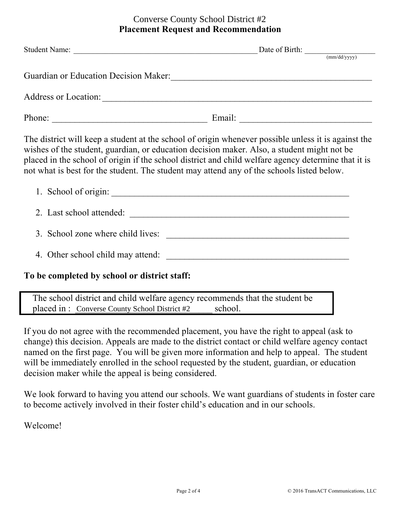## **Placement Request and Recommendation** Converse County School District #2

| Student Name:                                                                                       |                                         | (mm/dd/yyyy) |
|-----------------------------------------------------------------------------------------------------|-----------------------------------------|--------------|
| Guardian or Education Decision Maker:                                                               |                                         |              |
| Address or Location:                                                                                |                                         |              |
| Phone:                                                                                              | Email: <u>_________________________</u> |              |
| The district will keep a student at the school of origin whenever possible unless it is against the |                                         |              |

The district will keep a student at the school of origin whenever possible unless it is against the wishes of the student, guardian, or education decision maker. Also, a student might not be placed in the school of origin if the school district and child welfare agency determine that it is not what is best for the student. The student may attend any of the schools listed below.

| 1. School of origin:              |  |
|-----------------------------------|--|
| 2. Last school attended:          |  |
| 3. School zone where child lives: |  |
| 4. Other school child may attend: |  |

## **To be completed by school or district staff:**

The school district and child welfare agency recommends that the student be placed in : Converse County School District #2 school.

If you do not agree with the recommended placement, you have the right to appeal (ask to change) this decision. Appeals are made to the district contact or child welfare agency contact named on the first page. You will be given more information and help to appeal. The student will be immediately enrolled in the school requested by the student, guardian, or education decision maker while the appeal is being considered.

We look forward to having you attend our schools. We want guardians of students in foster care to become actively involved in their foster child's education and in our schools.

Welcome!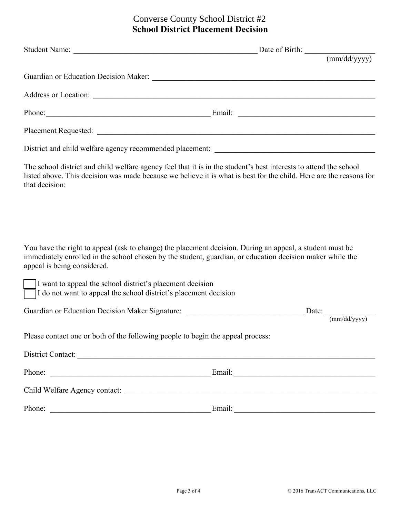## **School District Placement Decision** Converse County School District #2

|                                                                                                                                                                                                                                                      | Student Name: Date of Birth: <u>(mm/dd/yyyy)</u>                                                                   |
|------------------------------------------------------------------------------------------------------------------------------------------------------------------------------------------------------------------------------------------------------|--------------------------------------------------------------------------------------------------------------------|
|                                                                                                                                                                                                                                                      |                                                                                                                    |
|                                                                                                                                                                                                                                                      |                                                                                                                    |
|                                                                                                                                                                                                                                                      |                                                                                                                    |
|                                                                                                                                                                                                                                                      | Phone: Email: Email: Email: 2007                                                                                   |
|                                                                                                                                                                                                                                                      |                                                                                                                    |
|                                                                                                                                                                                                                                                      |                                                                                                                    |
| The school district and child welfare agency feel that it is in the student's best interests to attend the school<br>that decision:                                                                                                                  | listed above. This decision was made because we believe it is what is best for the child. Here are the reasons for |
| You have the right to appeal (ask to change) the placement decision. During an appeal, a student must be<br>immediately enrolled in the school chosen by the student, guardian, or education decision maker while the<br>appeal is being considered. |                                                                                                                    |
| I want to appeal the school district's placement decision<br>I do not want to appeal the school district's placement decision                                                                                                                        |                                                                                                                    |
|                                                                                                                                                                                                                                                      |                                                                                                                    |
| Please contact one or both of the following people to begin the appeal process:                                                                                                                                                                      |                                                                                                                    |
| District Contact:                                                                                                                                                                                                                                    |                                                                                                                    |
|                                                                                                                                                                                                                                                      |                                                                                                                    |
|                                                                                                                                                                                                                                                      |                                                                                                                    |
|                                                                                                                                                                                                                                                      | Phone: Email: Email:                                                                                               |